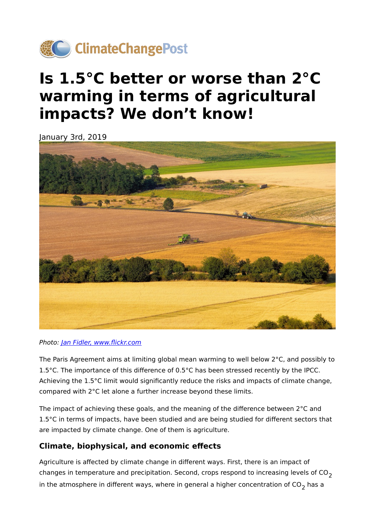

## **Is 1.5°C better or worse than 2°C warming in terms of agricultural impacts? We don't know!**

January 3rd, 2019



## Photo: [Jan Fidler, www.](https://www.flickr.com/photos/hypotekyfidler/44031422591/in/photolist-2a5UxUt-aAzHtx-aAzJve-azHubq-3mNSUJ-7nwZcZ-8LTXKd-fwvUma-oJZcug-dNJHnW-7rfMzy-noRiS1-koaAZn-4xhaNn-55nzpR-22pQriu-VYvvR7-yHoXTw-grUQLB-9F7odA-cUYyBm-8haTHP-apofoR-gVp4ep-gG8sy3-4VN7dD-aMrPwr-Zigbuf-grUSdK-8o2yDW-YYNNCU-obaxfG-akkSFK-wznwhG-aorFti-ddpf5i-2aLk83p-aADPdj-gK8pqP-aqgdot-ahaqkE-p9kH2w-fucZ6n-qA7NmB-55nFhk-fusoGs-3jKqrQ-7bS8LD-7d1Nf6-gjYHLR)flickr.com

The Paris Agreement aims at limiting global mean warming to well below 2°C, and possibly to 1.5°C. The importance of this difference of 0.5°C has been stressed recently by the IPCC. Achieving the 1.5°C limit would significantly reduce the risks and impacts of climate change, compared with 2°C let alone a further increase beyond these limits.

The impact of achieving these goals, and the meaning of the difference between 2°C and 1.5°C in terms of impacts, have been studied and are being studied for different sectors that are impacted by climate change. One of them is agriculture.

## **Climate, biophysical, and economic effects**

Agriculture is affected by climate change in different ways. First, there is an impact of changes in temperature and precipitation. Second, crops respond to increasing levels of  $CO<sub>2</sub>$ in the atmosphere in different ways, where in general a higher concentration of  $CO<sub>2</sub>$  has a